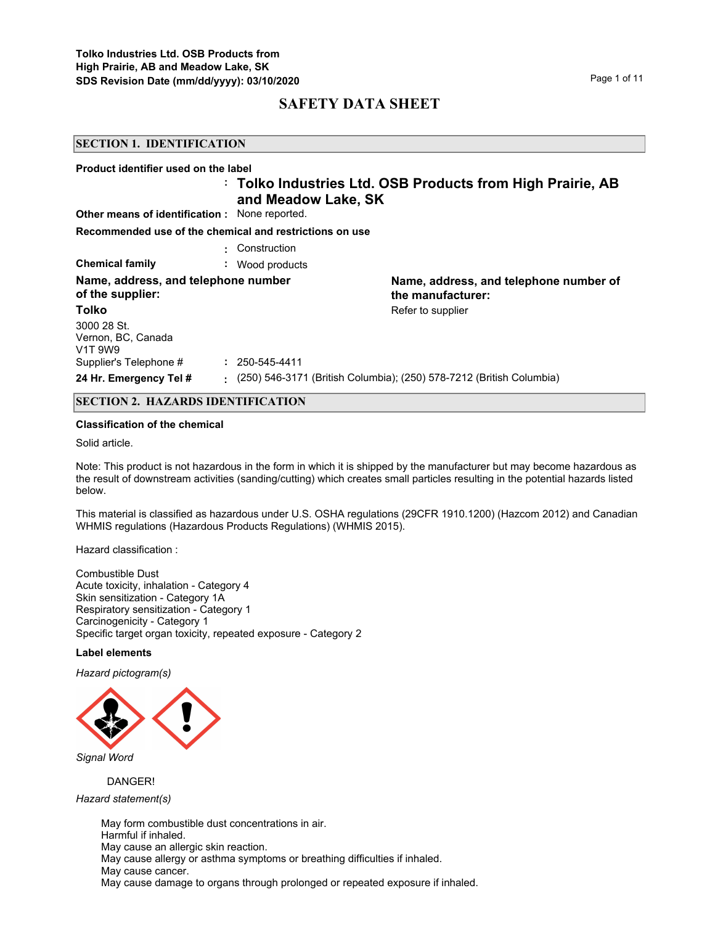#### **SECTION 1. IDENTIFICATION**

| Product identifier used on the label                                  |                      |                                                                      |
|-----------------------------------------------------------------------|----------------------|----------------------------------------------------------------------|
| <b>Other means of identification:</b> None reported.                  | and Meadow Lake, SK  | : Tolko Industries Ltd. OSB Products from High Prairie, AB           |
| Recommended use of the chemical and restrictions on use               |                      |                                                                      |
|                                                                       | Construction         |                                                                      |
| <b>Chemical family</b>                                                | : Wood products      |                                                                      |
| Name, address, and telephone number<br>of the supplier:               |                      | Name, address, and telephone number of<br>the manufacturer:          |
| Tolko                                                                 |                      | Refer to supplier                                                    |
| 3000 28 St.<br>Vernon, BC, Canada<br>V <sub>1</sub> T 9W <sub>9</sub> |                      |                                                                      |
| Supplier's Telephone #                                                | $: 250 - 545 - 4411$ |                                                                      |
| 24 Hr. Emergency Tel #                                                | ÷.                   | (250) 546-3171 (British Columbia); (250) 578-7212 (British Columbia) |
|                                                                       |                      |                                                                      |

# **SECTION 2. HAZARDS IDENTIFICATION**

#### **Classification of the chemical**

Solid article.

Note: This product is not hazardous in the form in which it is shipped by the manufacturer but may become hazardous as the result of downstream activities (sanding/cutting) which creates small particles resulting in the potential hazards listed below.

This material is classified as hazardous under U.S. OSHA regulations (29CFR 1910.1200) (Hazcom 2012) and Canadian WHMIS regulations (Hazardous Products Regulations) (WHMIS 2015).

Hazard classification :

Combustible Dust Acute toxicity, inhalation - Category 4 Skin sensitization - Category 1A Respiratory sensitization - Category 1 Carcinogenicity - Category 1 Specific target organ toxicity, repeated exposure - Category 2

#### **Label elements**

*Hazard pictogram(s)*



*Signal Word*

DANGER!

*Hazard statement(s)*

May form combustible dust concentrations in air. Harmful if inhaled. May cause an allergic skin reaction. May cause allergy or asthma symptoms or breathing difficulties if inhaled. May cause cancer. May cause damage to organs through prolonged or repeated exposure if inhaled.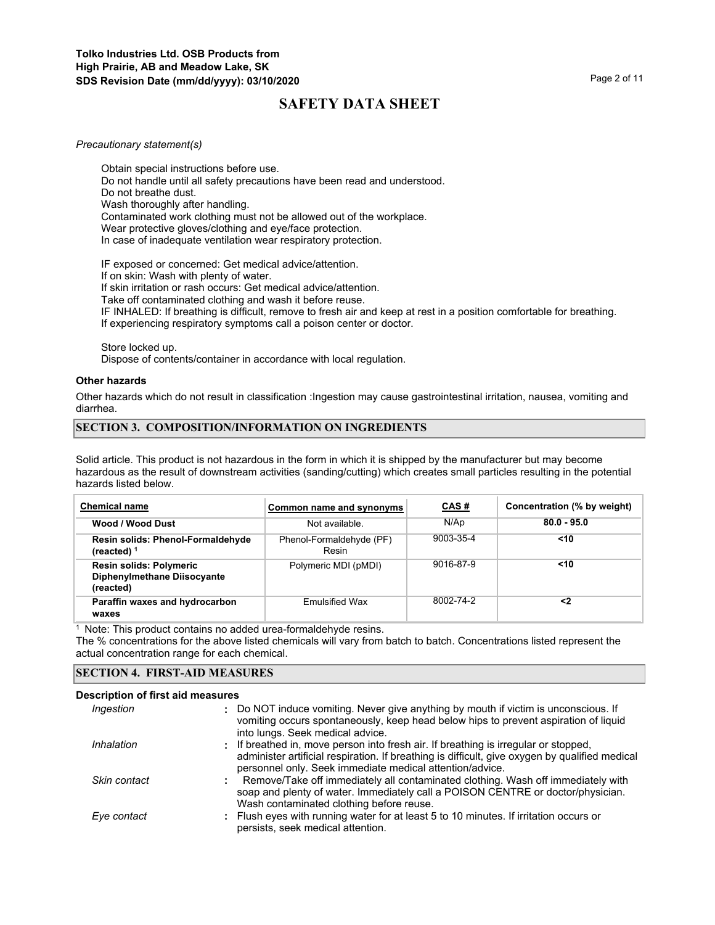#### *Precautionary statement(s)*

Obtain special instructions before use. Do not handle until all safety precautions have been read and understood. Do not breathe dust. Wash thoroughly after handling. Contaminated work clothing must not be allowed out of the workplace. Wear protective gloves/clothing and eye/face protection. In case of inadequate ventilation wear respiratory protection.

IF exposed or concerned: Get medical advice/attention. If on skin: Wash with plenty of water.

If skin irritation or rash occurs: Get medical advice/attention.

Take off contaminated clothing and wash it before reuse.

IF INHALED: If breathing is difficult, remove to fresh air and keep at rest in a position comfortable for breathing. If experiencing respiratory symptoms call a poison center or doctor.

Store locked up.

Dispose of contents/container in accordance with local regulation.

#### **Other hazards**

Other hazards which do not result in classification :Ingestion may cause gastrointestinal irritation, nausea, vomiting and diarrhea.

## **SECTION 3. COMPOSITION/INFORMATION ON INGREDIENTS**

Solid article. This product is not hazardous in the form in which it is shipped by the manufacturer but may become hazardous as the result of downstream activities (sanding/cutting) which creates small particles resulting in the potential hazards listed below.

| <b>Chemical name</b>                                                       | Common name and synonyms          | <u>CAS#</u> | Concentration (% by weight) |
|----------------------------------------------------------------------------|-----------------------------------|-------------|-----------------------------|
| Wood / Wood Dust                                                           | Not available.                    | N/Ap        | $80.0 - 95.0$               |
| Resin solids: Phenol-Formaldehyde<br>(reacted) $1$                         | Phenol-Formaldehyde (PF)<br>Resin | 9003-35-4   | $10$                        |
| <b>Resin solids: Polymeric</b><br>Diphenylmethane Diisocyante<br>(reacted) | Polymeric MDI (pMDI)              | 9016-87-9   | $10$                        |
| Paraffin waxes and hydrocarbon<br>waxes                                    | <b>Emulsified Wax</b>             | 8002-74-2   | <2                          |

<sup>1</sup> Note: This product contains no added urea-formaldehyde resins.

The % concentrations for the above listed chemicals will vary from batch to batch. Concentrations listed represent the actual concentration range for each chemical.

## **SECTION 4. FIRST-AID MEASURES**

#### **Description of first aid measures**

| Ingestion    | : Do NOT induce vomiting. Never give anything by mouth if victim is unconscious. If<br>vomiting occurs spontaneously, keep head below hips to prevent aspiration of liquid<br>into lungs. Seek medical advice.                                    |
|--------------|---------------------------------------------------------------------------------------------------------------------------------------------------------------------------------------------------------------------------------------------------|
| Inhalation   | : If breathed in, move person into fresh air. If breathing is irregular or stopped,<br>administer artificial respiration. If breathing is difficult, give oxygen by qualified medical<br>personnel only. Seek immediate medical attention/advice. |
| Skin contact | Remove/Take off immediately all contaminated clothing. Wash off immediately with<br>soap and plenty of water. Immediately call a POISON CENTRE or doctor/physician.<br>Wash contaminated clothing before reuse.                                   |
| Eye contact  | : Flush eyes with running water for at least 5 to 10 minutes. If irritation occurs or<br>persists, seek medical attention.                                                                                                                        |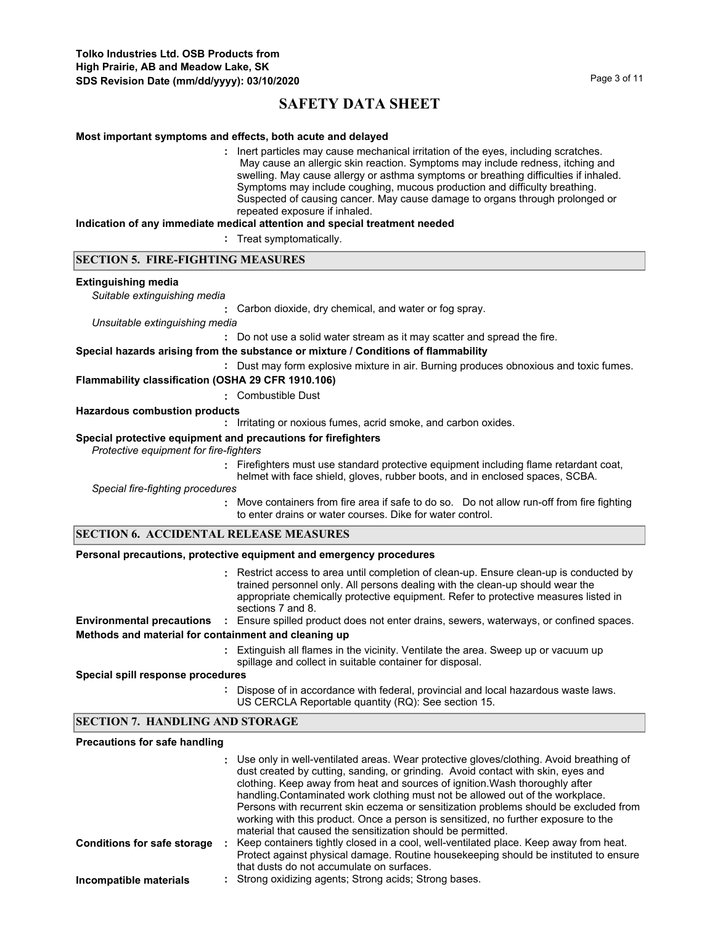#### **Most important symptoms and effects, both acute and delayed**

**:** Inert particles may cause mechanical irritation of the eyes, including scratches. May cause an allergic skin reaction. Symptoms may include redness, itching and swelling. May cause allergy or asthma symptoms or breathing difficulties if inhaled. Symptoms may include coughing, mucous production and difficulty breathing. Suspected of causing cancer. May cause damage to organs through prolonged or repeated exposure if inhaled.

#### **Indication of any immediate medical attention and special treatment needed**

**:** Treat symptomatically.

#### **SECTION 5. FIRE-FIGHTING MEASURES**

#### **Extinguishing media**

*Suitable extinguishing media*

**:** Carbon dioxide, dry chemical, and water or fog spray.

*Unsuitable extinguishing media*

**:** Do not use a solid water stream as it may scatter and spread the fire.

#### **Special hazards arising from the substance or mixture / Conditions of flammability**

**:** Dust may form explosive mixture in air. Burning produces obnoxious and toxic fumes.

## **Flammability classification (OSHA 29 CFR 1910.106)**

#### **:** Combustible Dust

#### **Hazardous combustion products**

**:** Irritating or noxious fumes, acrid smoke, and carbon oxides.

#### **Special protective equipment and precautions for firefighters**

*Protective equipment for fire-fighters*

**:** Firefighters must use standard protective equipment including flame retardant coat, helmet with face shield, gloves, rubber boots, and in enclosed spaces, SCBA.

*Special fire-fighting procedures*

**:** Move containers from fire area if safe to do so. Do not allow run-off from fire fighting to enter drains or water courses. Dike for water control.

#### **SECTION 6. ACCIDENTAL RELEASE MEASURES**

#### **Personal precautions, protective equipment and emergency procedures**

Restrict access to area until completion of clean-up. Ensure clean-up is conducted by **:** trained personnel only. All persons dealing with the clean-up should wear the appropriate chemically protective equipment. Refer to protective measures listed in sections 7 and 8. **Environmental precautions :** Ensure spilled product does not enter drains, sewers, waterways, or confined spaces.

#### **Methods and material for containment and cleaning up**

Extinguish all flames in the vicinity. Ventilate the area. Sweep up or vacuum up **:** spillage and collect in suitable container for disposal.

**Special spill response procedures**

**:** Dispose of in accordance with federal, provincial and local hazardous waste laws. US CERCLA Reportable quantity (RQ): See section 15.

## **SECTION 7. HANDLING AND STORAGE**

#### **Precautions for safe handling**

|                                    | : Use only in well-ventilated areas. Wear protective gloves/clothing. Avoid breathing of<br>dust created by cutting, sanding, or grinding. Avoid contact with skin, eyes and<br>clothing. Keep away from heat and sources of ignition. Wash thoroughly after<br>handling. Contaminated work clothing must not be allowed out of the workplace.<br>Persons with recurrent skin eczema or sensitization problems should be excluded from<br>working with this product. Once a person is sensitized, no further exposure to the<br>material that caused the sensitization should be permitted. |
|------------------------------------|---------------------------------------------------------------------------------------------------------------------------------------------------------------------------------------------------------------------------------------------------------------------------------------------------------------------------------------------------------------------------------------------------------------------------------------------------------------------------------------------------------------------------------------------------------------------------------------------|
| <b>Conditions for safe storage</b> | Keep containers tightly closed in a cool, well-ventilated place. Keep away from heat.<br>Protect against physical damage. Routine house keeping should be instituted to ensure<br>that dusts do not accumulate on surfaces.                                                                                                                                                                                                                                                                                                                                                                 |
| Incompatible materials             | : Strong oxidizing agents; Strong acids; Strong bases.                                                                                                                                                                                                                                                                                                                                                                                                                                                                                                                                      |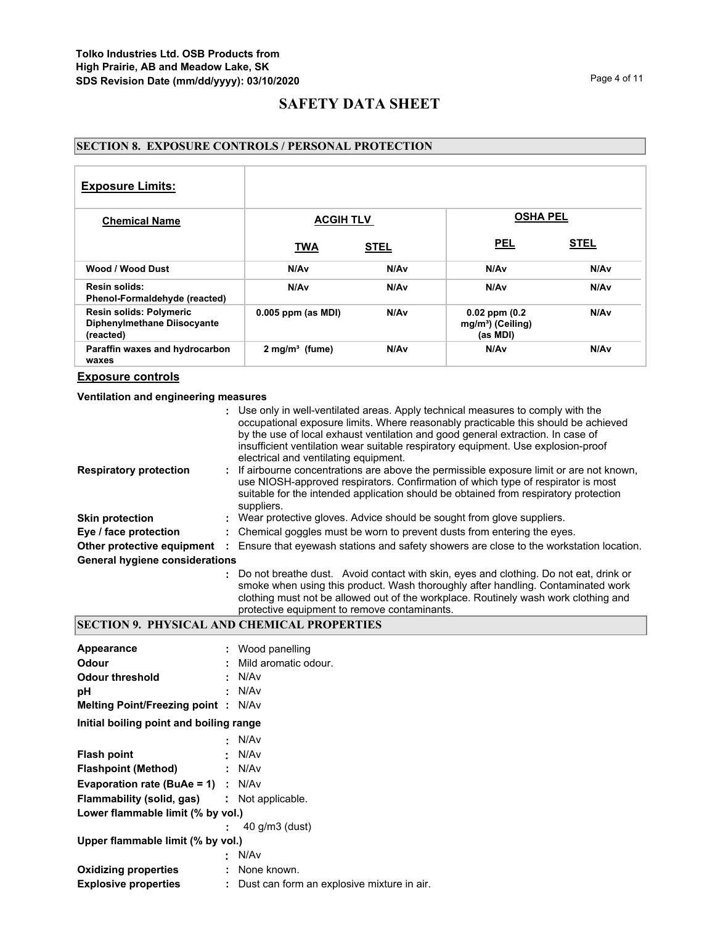# **SECTION 8. EXPOSURE CONTROLS / PERSONAL PROTECTION**

| <b>Exposure Limits:</b>                                                    |                              |             |                                                                 |                  |
|----------------------------------------------------------------------------|------------------------------|-------------|-----------------------------------------------------------------|------------------|
| <b>Chemical Name</b>                                                       | <b>ACGIH TLV</b>             |             | <b>OSHA PEL</b>                                                 |                  |
|                                                                            | <b>TWA</b>                   | <b>STEL</b> | <b>PEL</b>                                                      | <b>STEL</b>      |
| Wood / Wood Dust                                                           | N/Av                         | N/Av        | N/Av                                                            | N/Av             |
| Resin solids:<br>Phenol-Formaldehyde (reacted)                             | N/A <sub>v</sub>             | N/Av        | N/Av                                                            | N/Av             |
| <b>Resin solids: Polymeric</b><br>Diphenylmethane Diisocyante<br>(reacted) | $0.005$ ppm (as MDI)         | N/Av        | $0.02$ ppm $(0.2)$<br>mg/m <sup>3</sup> ) (Ceiling)<br>(as MDI) | N/A <sub>v</sub> |
| Paraffin waxes and hydrocarbon<br>waxes                                    | $2$ mg/m <sup>3</sup> (fume) | N/Av        | N/Av                                                            | N/Av             |

## **Exposure controls**

## **Ventilation and engineering measures**

|                                       |   | : Use only in well-ventilated areas. Apply technical measures to comply with the<br>occupational exposure limits. Where reasonably practicable this should be achieved<br>by the use of local exhaust ventilation and good general extraction. In case of<br>insufficient ventilation wear suitable respiratory equipment. Use explosion-proof<br>electrical and ventilating equipment. |
|---------------------------------------|---|-----------------------------------------------------------------------------------------------------------------------------------------------------------------------------------------------------------------------------------------------------------------------------------------------------------------------------------------------------------------------------------------|
| <b>Respiratory protection</b>         |   | : If airbourne concentrations are above the permissible exposure limit or are not known,<br>use NIOSH-approved respirators. Confirmation of which type of respirator is most<br>suitable for the intended application should be obtained from respiratory protection<br>suppliers.                                                                                                      |
| <b>Skin protection</b>                |   | : Wear protective gloves. Advice should be sought from glove suppliers.                                                                                                                                                                                                                                                                                                                 |
| Eye / face protection                 |   | : Chemical goggles must be worn to prevent dusts from entering the eyes.                                                                                                                                                                                                                                                                                                                |
| Other protective equipment            | ÷ | Ensure that eyewash stations and safety showers are close to the workstation location.                                                                                                                                                                                                                                                                                                  |
| <b>General hygiene considerations</b> |   |                                                                                                                                                                                                                                                                                                                                                                                         |
|                                       |   | : Do not breathe dust. Avoid contact with skin, eyes and clothing. Do not eat, drink or<br>smoke when using this product. Wash thoroughly after handling. Contaminated work                                                                                                                                                                                                             |

# clothing must not be allowed out of the workplace. Routinely wash work clothing and protective equipment to remove contaminants.

## **SECTION 9. PHYSICAL AND CHEMICAL PROPERTIES**

| Appearance                                         |   | : Wood panelling                             |
|----------------------------------------------------|---|----------------------------------------------|
| Odour                                              |   | Mild aromatic odour.                         |
| Odour threshold                                    |   | : N/Av                                       |
| рH                                                 |   | N/Av                                         |
| <b>Melting Point/Freezing point:</b>               |   | N/Av                                         |
| Initial boiling point and boiling range            |   |                                              |
|                                                    |   | N/Av                                         |
| <b>Flash point</b>                                 |   | N/Av                                         |
| Flashpoint (Method)                                |   | : N/Av                                       |
| <b>Evaporation rate (BuAe = 1)</b> : $N/Av$        |   |                                              |
| <b>Flammability (solid, gas) : Not applicable.</b> |   |                                              |
| Lower flammable limit (% by vol.)                  |   |                                              |
|                                                    |   | $40$ g/m $3$ (dust)                          |
| Upper flammable limit (% by vol.)                  |   |                                              |
|                                                    | ٠ | N/Av                                         |
| <b>Oxidizing properties</b>                        |   | : None known.                                |
| <b>Explosive properties</b>                        |   | : Dust can form an explosive mixture in air. |
|                                                    |   |                                              |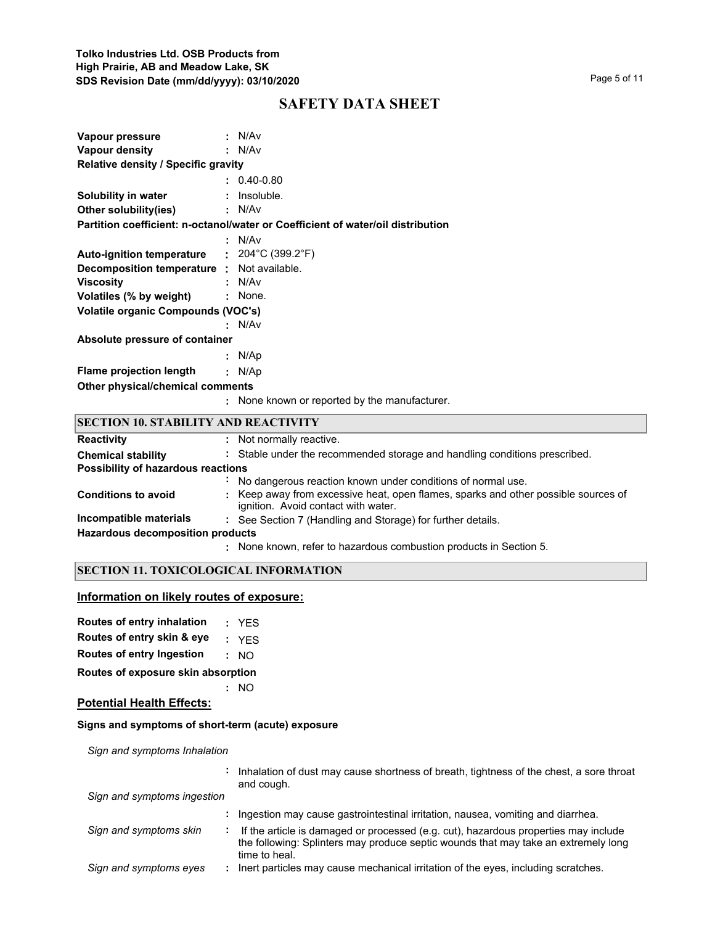| . N/Av<br>Vapour pressure                   |                                                                                 |
|---------------------------------------------|---------------------------------------------------------------------------------|
| Vapour density                              | : N/Av                                                                          |
| <b>Relative density / Specific gravity</b>  |                                                                                 |
|                                             | $: 0.40 - 0.80$                                                                 |
| <b>Solubility in water : Insoluble.</b>     |                                                                                 |
| <b>Other solubility(ies) : N/Av</b>         |                                                                                 |
|                                             | Partition coefficient: n-octanol/water or Coefficient of water/oil distribution |
|                                             | : N/Av                                                                          |
| Auto-ignition temperature : 204°C (399.2°F) |                                                                                 |
| Decomposition temperature : Not available.  |                                                                                 |
| <b>Viscosity</b>                            | : N/Av                                                                          |
| Volatiles (% by weight) : None.             |                                                                                 |
| Volatile organic Compounds (VOC's)          |                                                                                 |
|                                             | : N/Av                                                                          |
| Absolute pressure of container              |                                                                                 |
|                                             | : N/Ap                                                                          |
| <b>Flame projection length</b>              | : N/AD                                                                          |
| Other physical/chemical comments            |                                                                                 |
|                                             | : None known or reported by the manufacturer.                                   |

| <b>SECTION 10. STABILITY AND REACTIVITY</b> |                                                                                                                           |  |
|---------------------------------------------|---------------------------------------------------------------------------------------------------------------------------|--|
| <b>Reactivity</b>                           | : Not normally reactive.                                                                                                  |  |
| <b>Chemical stability</b>                   | : Stable under the recommended storage and handling conditions prescribed.                                                |  |
| Possibility of hazardous reactions          |                                                                                                                           |  |
|                                             | No dangerous reaction known under conditions of normal use.                                                               |  |
| <b>Conditions to avoid</b>                  | : Keep away from excessive heat, open flames, sparks and other possible sources of<br>ignition. Avoid contact with water. |  |
| Incompatible materials                      | : See Section 7 (Handling and Storage) for further details.                                                               |  |
| <b>Hazardous decomposition products</b>     |                                                                                                                           |  |
|                                             | : None known, refer to hazardous combustion products in Section 5.                                                        |  |

# **SECTION 11. TOXICOLOGICAL INFORMATION**

# **Information on likely routes of exposure:**

| Routes of entry inhalation |  | YES |
|----------------------------|--|-----|
|----------------------------|--|-----|

**Routes of entry skin & eye :** YES

**Routes of entry Ingestion :** NO

**Routes of exposure skin absorption**

**Potential Health Effects:**

## **Signs and symptoms of short-term (acute) exposure**

**:** NO

*Sign and symptoms Inhalation*

|                             |                | Inhalation of dust may cause shortness of breath, tightness of the chest, a sore throat<br>and cough.                                                                                      |
|-----------------------------|----------------|--------------------------------------------------------------------------------------------------------------------------------------------------------------------------------------------|
| Sign and symptoms ingestion |                |                                                                                                                                                                                            |
|                             |                | Ingestion may cause gastrointestinal irritation, nausea, vomiting and diarrhea.                                                                                                            |
| Sign and symptoms skin      | $\blacksquare$ | If the article is damaged or processed (e.g. cut), hazardous properties may include<br>the following: Splinters may produce septic wounds that may take an extremely long<br>time to heal. |
| Sign and symptoms eyes      |                | Inert particles may cause mechanical irritation of the eyes, including scratches.                                                                                                          |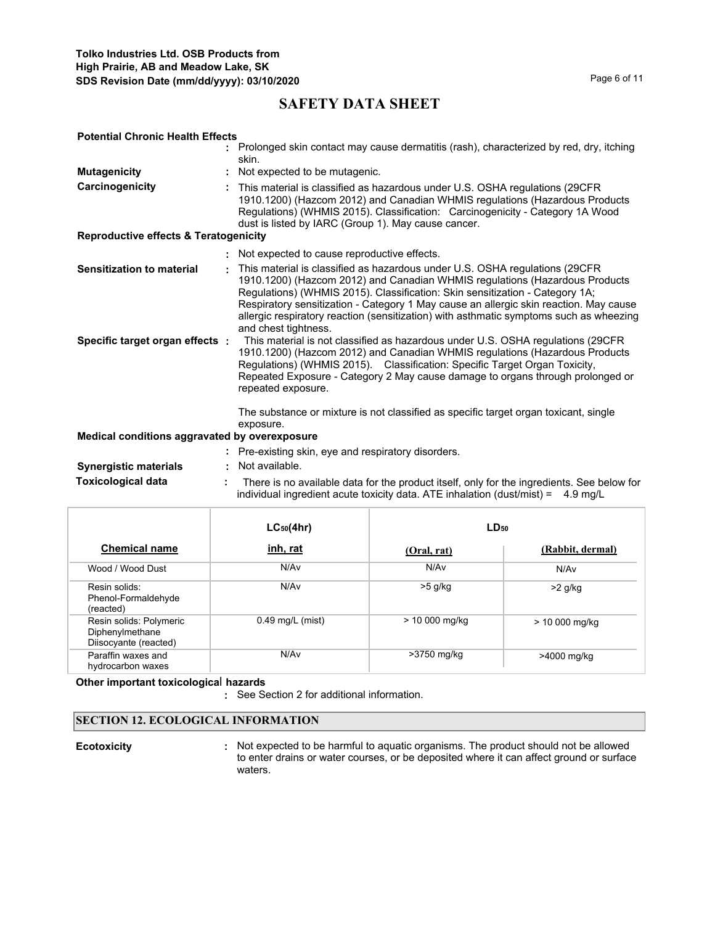| <b>Potential Chronic Health Effects</b>          |  |                                                                                                                                                                                                                                                                                                                                                                                                                                                        |  |  |
|--------------------------------------------------|--|--------------------------------------------------------------------------------------------------------------------------------------------------------------------------------------------------------------------------------------------------------------------------------------------------------------------------------------------------------------------------------------------------------------------------------------------------------|--|--|
|                                                  |  | : Prolonged skin contact may cause dermatitis (rash), characterized by red, dry, itching<br>skin.                                                                                                                                                                                                                                                                                                                                                      |  |  |
| <b>Mutagenicity</b>                              |  | Not expected to be mutagenic.                                                                                                                                                                                                                                                                                                                                                                                                                          |  |  |
| Carcinogenicity                                  |  | : This material is classified as hazardous under U.S. OSHA requlations (29CFR<br>1910.1200) (Hazcom 2012) and Canadian WHMIS regulations (Hazardous Products<br>Regulations) (WHMIS 2015). Classification: Carcinogenicity - Category 1A Wood<br>dust is listed by IARC (Group 1). May cause cancer.                                                                                                                                                   |  |  |
| <b>Reproductive effects &amp; Teratogenicity</b> |  |                                                                                                                                                                                                                                                                                                                                                                                                                                                        |  |  |
|                                                  |  | : Not expected to cause reproductive effects.                                                                                                                                                                                                                                                                                                                                                                                                          |  |  |
| <b>Sensitization to material</b>                 |  | This material is classified as hazardous under U.S. OSHA regulations (29CFR)<br>1910.1200) (Hazcom 2012) and Canadian WHMIS regulations (Hazardous Products<br>Regulations) (WHMIS 2015). Classification: Skin sensitization - Category 1A;<br>Respiratory sensitization - Category 1 May cause an allergic skin reaction. May cause<br>allergic respiratory reaction (sensitization) with asthmatic symptoms such as wheezing<br>and chest tightness. |  |  |
| Specific target organ effects :                  |  | This material is not classified as hazardous under U.S. OSHA regulations (29CFR<br>1910.1200) (Hazcom 2012) and Canadian WHMIS regulations (Hazardous Products<br>Regulations) (WHMIS 2015). Classification: Specific Target Organ Toxicity,<br>Repeated Exposure - Category 2 May cause damage to organs through prolonged or<br>repeated exposure.                                                                                                   |  |  |
|                                                  |  | The substance or mixture is not classified as specific target organ toxicant, single<br>exposure.                                                                                                                                                                                                                                                                                                                                                      |  |  |
| Medical conditions aggravated by overexposure    |  |                                                                                                                                                                                                                                                                                                                                                                                                                                                        |  |  |
|                                                  |  | : Pre-existing skin, eye and respiratory disorders.                                                                                                                                                                                                                                                                                                                                                                                                    |  |  |
| <b>Synergistic materials</b>                     |  | Not available.                                                                                                                                                                                                                                                                                                                                                                                                                                         |  |  |
| <b>Toxicological data</b>                        |  | There is no available data for the product itself, only for the ingredients. See below for<br>individual ingredient acute toxicity data. ATE inhalation (dust/mist) = $4.9 \text{ mg/L}$                                                                                                                                                                                                                                                               |  |  |

|                                                                     | $LC_{50}(4hr)$     | LD <sub>50</sub> |                  |
|---------------------------------------------------------------------|--------------------|------------------|------------------|
| <b>Chemical name</b>                                                | inh, rat           | (Oral, rat)      | (Rabbit, dermal) |
| Wood / Wood Dust                                                    | N/Av               | N/Av             | N/Av             |
| Resin solids:<br>Phenol-Formaldehyde<br>(reacted)                   | N/Av               | $>5$ g/kg        | $>2$ g/kg        |
| Resin solids: Polymeric<br>Diphenylmethane<br>Diisocyante (reacted) | $0.49$ mg/L (mist) | > 10 000 mg/kg   | > 10 000 mg/kg   |
| Paraffin waxes and<br>hydrocarbon waxes                             | N/Av               | >3750 mg/kg      | >4000 mg/kg      |

**Other important toxicologica**l **hazards**

**:** See Section 2 for additional information.

## **SECTION 12. ECOLOGICAL INFORMATION**

**Ecotoxicity Not expected to be harmful to aquatic organisms. The product should not be allowed** to enter drains or water courses, or be deposited where it can affect ground or surface waters. **:**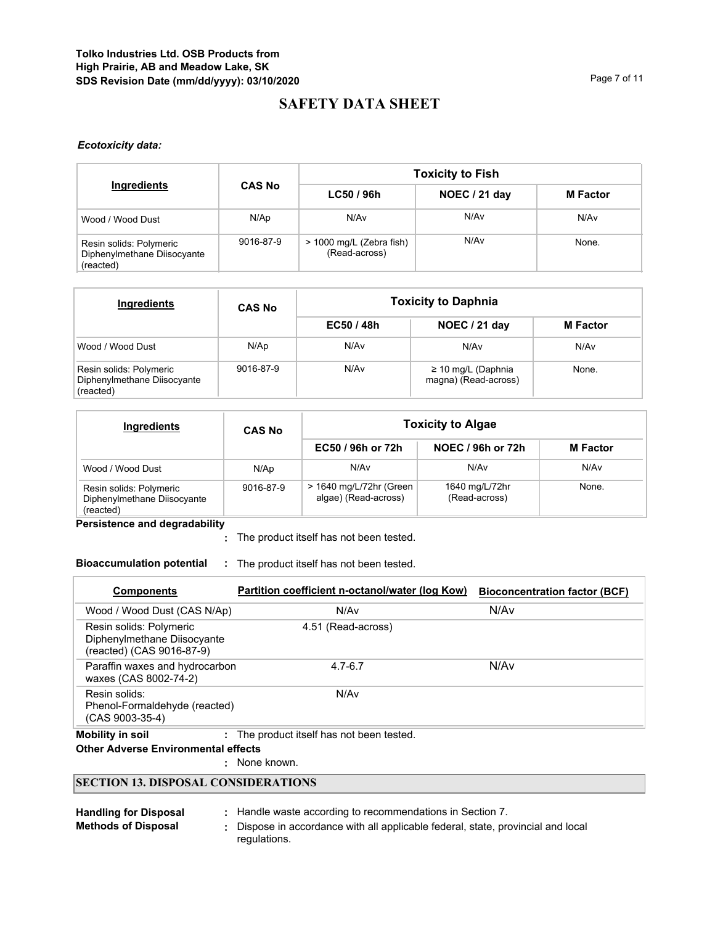## *Ecotoxicity data:*

|                                                                     |               | <b>Toxicity to Fish</b>                   |               |                 |  |  |
|---------------------------------------------------------------------|---------------|-------------------------------------------|---------------|-----------------|--|--|
| Ingredients                                                         | <b>CAS No</b> | LC50 / 96h                                | NOEC / 21 day | <b>M</b> Factor |  |  |
| Wood / Wood Dust                                                    | N/Ap          | N/A <sub>v</sub>                          | N/Av          | N/Av            |  |  |
| Resin solids: Polymeric<br>Diphenylmethane Diisocyante<br>(reacted) | 9016-87-9     | > 1000 mg/L (Zebra fish)<br>(Read-across) | N/Av          | None.           |  |  |

| Ingredients                                                         | <b>CAS No</b> | <b>Toxicity to Daphnia</b> |                                                 |                 |  |
|---------------------------------------------------------------------|---------------|----------------------------|-------------------------------------------------|-----------------|--|
|                                                                     |               | EC50/48h                   | NOEC / 21 day                                   | <b>M</b> Factor |  |
| Wood / Wood Dust                                                    | N/Ap          | N/Av                       | N/Av                                            | N/Av            |  |
| Resin solids: Polymeric<br>Diphenylmethane Diisocyante<br>(reacted) | 9016-87-9     | N/Av                       | $\geq$ 10 mg/L (Daphnia<br>magna) (Read-across) | None.           |  |

| Ingredients                                                         | <b>CAS No</b> | <b>Toxicity to Algae</b>                        |                                 |                 |  |  |
|---------------------------------------------------------------------|---------------|-------------------------------------------------|---------------------------------|-----------------|--|--|
|                                                                     |               | EC50 / 96h or 72h                               | NOEC / 96h or 72h               | <b>M</b> Factor |  |  |
| Wood / Wood Dust                                                    | N/Ap          | N/Av                                            | N/Av                            | N/Av            |  |  |
| Resin solids: Polymeric<br>Diphenylmethane Diisocyante<br>(reacted) | 9016-87-9     | > 1640 mg/L/72hr (Green<br>algae) (Read-across) | 1640 mg/L/72hr<br>(Read-across) | None.           |  |  |

**Persistence and degradability**

The product itself has not been tested. **:**

# **Bioaccumulation potential :** The product itself has not been tested.

| <b>Components</b>                                                                   | Partition coefficient n-octanol/water (log Kow) | <b>Bioconcentration factor (BCF)</b> |
|-------------------------------------------------------------------------------------|-------------------------------------------------|--------------------------------------|
| Wood / Wood Dust (CAS N/Ap)                                                         | N/Av                                            | N/Av                                 |
| Resin solids: Polymeric<br>Diphenylmethane Diisocyante<br>(reacted) (CAS 9016-87-9) | 4.51 (Read-across)                              |                                      |
| Paraffin waxes and hydrocarbon<br>waxes (CAS 8002-74-2)                             | $4.7 - 6.7$                                     | N/Av                                 |
| Resin solids:<br>Phenol-Formaldehyde (reacted)<br>$(CAS 9003-35-4)$                 | N/Av                                            |                                      |
| <b>Mobility in soil</b>                                                             | The product itself has not been tested.         |                                      |

**Other Adverse Environmental effects** 

: None known.

## **SECTION 13. DISPOSAL CONSIDERATIONS**

| <b>Handling for Disposal</b> | Handle waste according to recommendations in Section 7.                                        |
|------------------------------|------------------------------------------------------------------------------------------------|
| <b>Methods of Disposal</b>   | Dispose in accordance with all applicable federal, state, provincial and local<br>regulations. |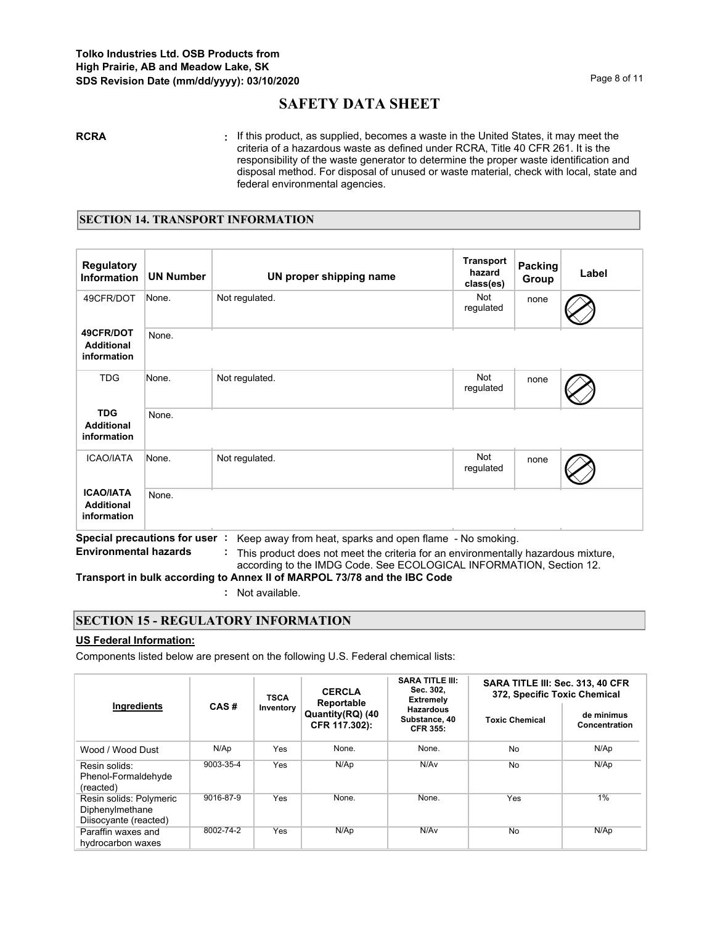**RCRA :** If this product, as supplied, becomes a waste in the United States, it may meet the criteria of a hazardous waste as defined under RCRA, Title 40 CFR 261. It is the responsibility of the waste generator to determine the proper waste identification and disposal method. For disposal of unused or waste material, check with local, state and federal environmental agencies.

## **SECTION 14. TRANSPORT INFORMATION**

| <b>Regulatory</b><br><b>Information</b>              | <b>UN Number</b>                      | UN proper shipping name                                | <b>Transport</b><br>hazard<br>class(es) | Packing<br>Group | Label |
|------------------------------------------------------|---------------------------------------|--------------------------------------------------------|-----------------------------------------|------------------|-------|
| 49CFR/DOT                                            | None.                                 | Not regulated.                                         | <b>Not</b><br>regulated                 | none             |       |
| 49CFR/DOT<br><b>Additional</b><br>information        | None.                                 |                                                        |                                         |                  |       |
| <b>TDG</b>                                           | None.                                 | Not regulated.                                         | <b>Not</b><br>regulated                 | none             |       |
| <b>TDG</b><br><b>Additional</b><br>information       | None.                                 |                                                        |                                         |                  |       |
| <b>ICAO/IATA</b>                                     | None.                                 | Not regulated.                                         | <b>Not</b><br>regulated                 | none             |       |
| <b>ICAO/IATA</b><br><b>Additional</b><br>information | None.<br>Concial processions for user | Keep quay from boot, aparks and apap flame. No amaking |                                         |                  |       |

**Special precautions for user :** Keep away from heat, sparks and open flame - No smoking.

**Environmental hazards :** This product does not meet the criteria for an environmentally hazardous mixture, according to the IMDG Code. See ECOLOGICAL INFORMATION, Section 12.

**Transport in bulk according to Annex II of MARPOL 73/78 and the IBC Code**

**:** Not available.

## **SECTION 15 - REGULATORY INFORMATION**

## **US Federal Information:**

Components listed below are present on the following U.S. Federal chemical lists:

|                                                                     |                                  | <b>TSCA</b> | <b>CERCLA</b><br>Reportable       | <b>SARA TITLE III:</b><br>Sec. 302,<br><b>Extremely</b> | SARA TITLE III: Sec. 313, 40 CFR<br>372, Specific Toxic Chemical |                             |  |
|---------------------------------------------------------------------|----------------------------------|-------------|-----------------------------------|---------------------------------------------------------|------------------------------------------------------------------|-----------------------------|--|
|                                                                     | Ingredients<br>CAS#<br>Inventory |             | Quantity(RQ) (40<br>CFR 117.302): | <b>Hazardous</b><br>Substance, 40<br><b>CFR 355:</b>    | <b>Toxic Chemical</b>                                            | de minimus<br>Concentration |  |
| Wood / Wood Dust                                                    | N/Ap                             | Yes         | None.                             | None.                                                   | No                                                               | N/Ap                        |  |
| Resin solids:<br>Phenol-Formaldehyde<br>(reacted)                   | 9003-35-4                        | Yes         | N/Ap                              | N/Av                                                    | No                                                               | N/Ap                        |  |
| Resin solids: Polymeric<br>Diphenylmethane<br>Diisocyante (reacted) | 9016-87-9                        | Yes         | None.                             | None.                                                   | Yes                                                              | $1\%$                       |  |
| Paraffin waxes and<br>hydrocarbon waxes                             | 8002-74-2                        | Yes         | N/Ap                              | N/Av                                                    | No                                                               | N/Ap                        |  |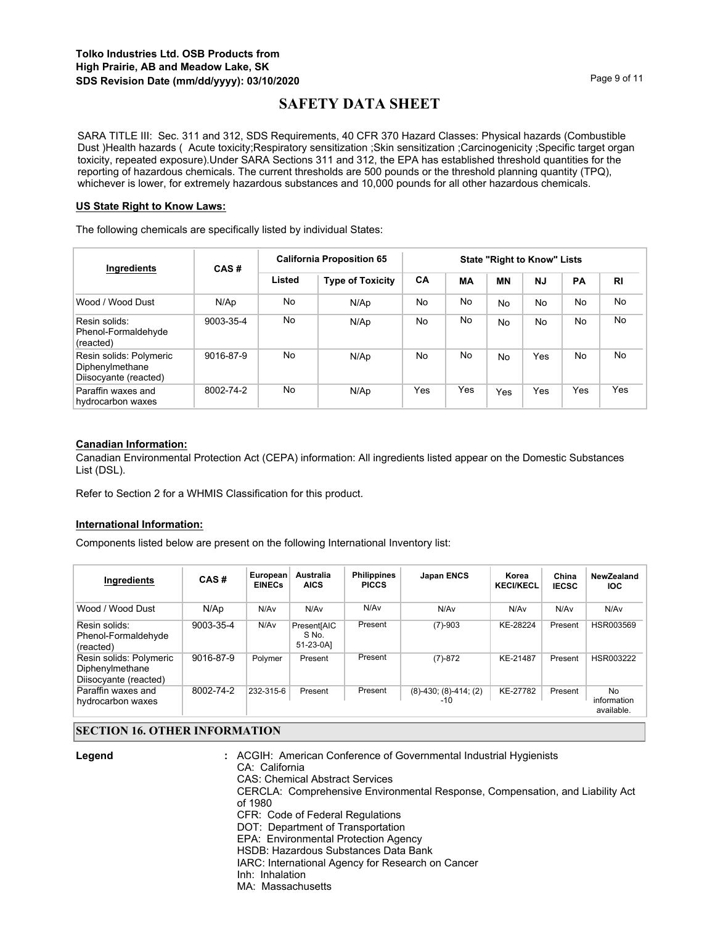SARA TITLE III: Sec. 311 and 312, SDS Requirements, 40 CFR 370 Hazard Classes: Physical hazards (Combustible Dust )Health hazards ( Acute toxicity;Respiratory sensitization ;Skin sensitization ;Carcinogenicity ;Specific target organ toxicity, repeated exposure).Under SARA Sections 311 and 312, the EPA has established threshold quantities for the reporting of hazardous chemicals. The current thresholds are 500 pounds or the threshold planning quantity (TPQ), whichever is lower, for extremely hazardous substances and 10,000 pounds for all other hazardous chemicals.

## **US State Right to Know Laws:**

The following chemicals are specifically listed by individual States:

| Ingredients                                                         | CAS#      | <b>California Proposition 65</b> |                         | <b>State "Right to Know" Lists</b> |           |           |           |     |                |
|---------------------------------------------------------------------|-----------|----------------------------------|-------------------------|------------------------------------|-----------|-----------|-----------|-----|----------------|
|                                                                     |           | Listed                           | <b>Type of Toxicity</b> | CA                                 | <b>MA</b> | ΜN        | <b>NJ</b> | PA  | R <sub>1</sub> |
| Wood / Wood Dust                                                    | N/Ap      | No                               | N/Ap                    | No                                 | No        | <b>No</b> | No        | No  | No             |
| Resin solids:<br>Phenol-Formaldehyde<br>(reacted)                   | 9003-35-4 | No                               | N/Ap                    | N <sub>o</sub>                     | No.       | <b>No</b> | No        | No  | No             |
| Resin solids: Polymeric<br>Diphenylmethane<br>Diisocyante (reacted) | 9016-87-9 | No                               | N/Ap                    | No                                 | No        | <b>No</b> | Yes       | No  | No             |
| Paraffin waxes and<br>hydrocarbon waxes                             | 8002-74-2 | No                               | N/Ap                    | Yes                                | Yes       | Yes       | Yes       | Yes | Yes            |

## **Canadian Information:**

Canadian Environmental Protection Act (CEPA) information: All ingredients listed appear on the Domestic Substances List (DSL).

Refer to Section 2 for a WHMIS Classification for this product.

#### **International Information:**

Components listed below are present on the following International Inventory list:

| Ingredients                                                         | CAS#      | European<br><b>EINECs</b> | Australia<br><b>AICS</b>          | <b>Philippines</b><br><b>PICCS</b> | <b>Japan ENCS</b>                    | Korea<br><b>KECI/KECL</b> | China<br><b>IECSC</b> | NewZealand<br><b>IOC</b>        |
|---------------------------------------------------------------------|-----------|---------------------------|-----------------------------------|------------------------------------|--------------------------------------|---------------------------|-----------------------|---------------------------------|
| Wood / Wood Dust                                                    | N/Ap      | N/Av                      | N/Av                              | N/Av                               | N/Av                                 | N/Av                      | N/Av                  | N/Av                            |
| Resin solids:<br>Phenol-Formaldehyde<br>(reacted)                   | 9003-35-4 | N/Av                      | Present[AIC<br>S No.<br>51-23-0A1 | Present                            | $(7)-903$                            | KE-28224                  | Present               | HSR003569                       |
| Resin solids: Polymeric<br>Diphenylmethane<br>Diisocyante (reacted) | 9016-87-9 | Polymer                   | Present                           | Present                            | $(7)-872$                            | KE-21487                  | Present               | HSR003222                       |
| Paraffin waxes and<br>hydrocarbon waxes                             | 8002-74-2 | 232-315-6                 | Present                           | Present                            | $(8)-430$ ; $(8)-414$ ; $(2)$<br>-10 | KE-27782                  | Present               | No<br>information<br>available. |

# **SECTION 16. OTHER INFORMATION**

**Legend :**

- ACGIH: American Conference of Governmental Industrial Hygienists CA: California CAS: Chemical Abstract Services CERCLA: Comprehensive Environmental Response, Compensation, and Liability Act of 1980 CFR: Code of Federal Regulations DOT: Department of Transportation
	- EPA: Environmental Protection Agency
	- HSDB: Hazardous Substances Data Bank
- IARC: International Agency for Research on Cancer
	- Inh: Inhalation
	- MA: Massachusetts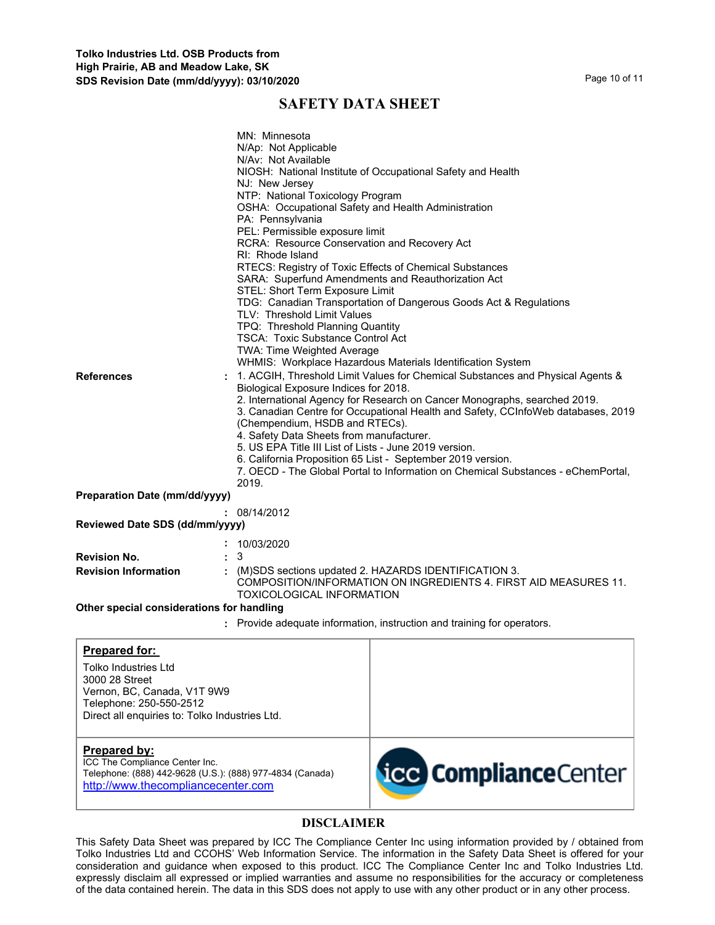| <b>References</b>                                                                                                                                                   | MN: Minnesota<br>N/Ap: Not Applicable<br>N/Av: Not Available<br>NJ: New Jersey<br>NTP: National Toxicology Program<br>OSHA: Occupational Safety and Health Administration<br>PA: Pennsylvania<br>PEL: Permissible exposure limit<br>RCRA: Resource Conservation and Recovery Act<br>RI: Rhode Island<br>STEL: Short Term Exposure Limit<br>TLV: Threshold Limit Values<br>TPQ: Threshold Planning Quantity<br><b>TSCA: Toxic Substance Control Act</b><br>TWA: Time Weighted Average<br>Biological Exposure Indices for 2018.<br>(Chempendium, HSDB and RTECs).<br>4. Safety Data Sheets from manufacturer.<br>5. US EPA Title III List of Lists - June 2019 version.<br>2019. | NIOSH: National Institute of Occupational Safety and Health<br>RTECS: Registry of Toxic Effects of Chemical Substances<br>SARA: Superfund Amendments and Reauthorization Act<br>TDG: Canadian Transportation of Dangerous Goods Act & Regulations<br>WHMIS: Workplace Hazardous Materials Identification System<br>1. ACGIH, Threshold Limit Values for Chemical Substances and Physical Agents &<br>2. International Agency for Research on Cancer Monographs, searched 2019.<br>3. Canadian Centre for Occupational Health and Safety, CCInfoWeb databases, 2019<br>6. California Proposition 65 List - September 2019 version.<br>7. OECD - The Global Portal to Information on Chemical Substances - eChemPortal. |
|---------------------------------------------------------------------------------------------------------------------------------------------------------------------|--------------------------------------------------------------------------------------------------------------------------------------------------------------------------------------------------------------------------------------------------------------------------------------------------------------------------------------------------------------------------------------------------------------------------------------------------------------------------------------------------------------------------------------------------------------------------------------------------------------------------------------------------------------------------------|-----------------------------------------------------------------------------------------------------------------------------------------------------------------------------------------------------------------------------------------------------------------------------------------------------------------------------------------------------------------------------------------------------------------------------------------------------------------------------------------------------------------------------------------------------------------------------------------------------------------------------------------------------------------------------------------------------------------------|
| <b>Preparation Date (mm/dd/yyyy)</b>                                                                                                                                |                                                                                                                                                                                                                                                                                                                                                                                                                                                                                                                                                                                                                                                                                |                                                                                                                                                                                                                                                                                                                                                                                                                                                                                                                                                                                                                                                                                                                       |
| Reviewed Date SDS (dd/mm/yyyy)                                                                                                                                      | : 08/14/2012                                                                                                                                                                                                                                                                                                                                                                                                                                                                                                                                                                                                                                                                   |                                                                                                                                                                                                                                                                                                                                                                                                                                                                                                                                                                                                                                                                                                                       |
|                                                                                                                                                                     | 10/03/2020                                                                                                                                                                                                                                                                                                                                                                                                                                                                                                                                                                                                                                                                     |                                                                                                                                                                                                                                                                                                                                                                                                                                                                                                                                                                                                                                                                                                                       |
| <b>Revision No.</b>                                                                                                                                                 | 3                                                                                                                                                                                                                                                                                                                                                                                                                                                                                                                                                                                                                                                                              |                                                                                                                                                                                                                                                                                                                                                                                                                                                                                                                                                                                                                                                                                                                       |
| <b>Revision Information</b>                                                                                                                                         | TOXICOLOGICAL INFORMATION                                                                                                                                                                                                                                                                                                                                                                                                                                                                                                                                                                                                                                                      | (M)SDS sections updated 2. HAZARDS IDENTIFICATION 3.<br>COMPOSITION/INFORMATION ON INGREDIENTS 4. FIRST AID MEASURES 11.                                                                                                                                                                                                                                                                                                                                                                                                                                                                                                                                                                                              |
| Other special considerations for handling                                                                                                                           |                                                                                                                                                                                                                                                                                                                                                                                                                                                                                                                                                                                                                                                                                |                                                                                                                                                                                                                                                                                                                                                                                                                                                                                                                                                                                                                                                                                                                       |
|                                                                                                                                                                     |                                                                                                                                                                                                                                                                                                                                                                                                                                                                                                                                                                                                                                                                                | : Provide adequate information, instruction and training for operators.                                                                                                                                                                                                                                                                                                                                                                                                                                                                                                                                                                                                                                               |
| Prepared for:<br>Tolko Industries Ltd<br>3000 28 Street<br>Vernon, BC, Canada, V1T 9W9<br>Telephone: 250-550-2512<br>Direct all enquiries to: Tolko Industries Ltd. |                                                                                                                                                                                                                                                                                                                                                                                                                                                                                                                                                                                                                                                                                |                                                                                                                                                                                                                                                                                                                                                                                                                                                                                                                                                                                                                                                                                                                       |
| <b>Prepared by:</b><br>ICC The Compliance Center Inc.<br>Telephone: (888) 442-9628 (U.S.): (888) 977-4834 (Canada)<br>http://www.thecompliancecenter.com            |                                                                                                                                                                                                                                                                                                                                                                                                                                                                                                                                                                                                                                                                                | <b>icc Compliance</b> Center                                                                                                                                                                                                                                                                                                                                                                                                                                                                                                                                                                                                                                                                                          |

# **DISCLAIMER**

This Safety Data Sheet was prepared by ICC The Compliance Center Inc using information provided by / obtained from Tolko Industries Ltd and CCOHS' Web Information Service. The information in the Safety Data Sheet is offered for your consideration and guidance when exposed to this product. ICC The Compliance Center Inc and Tolko Industries Ltd. expressly disclaim all expressed or implied warranties and assume no responsibilities for the accuracy or completeness of the data contained herein. The data in this SDS does not apply to use with any other product or in any other process.